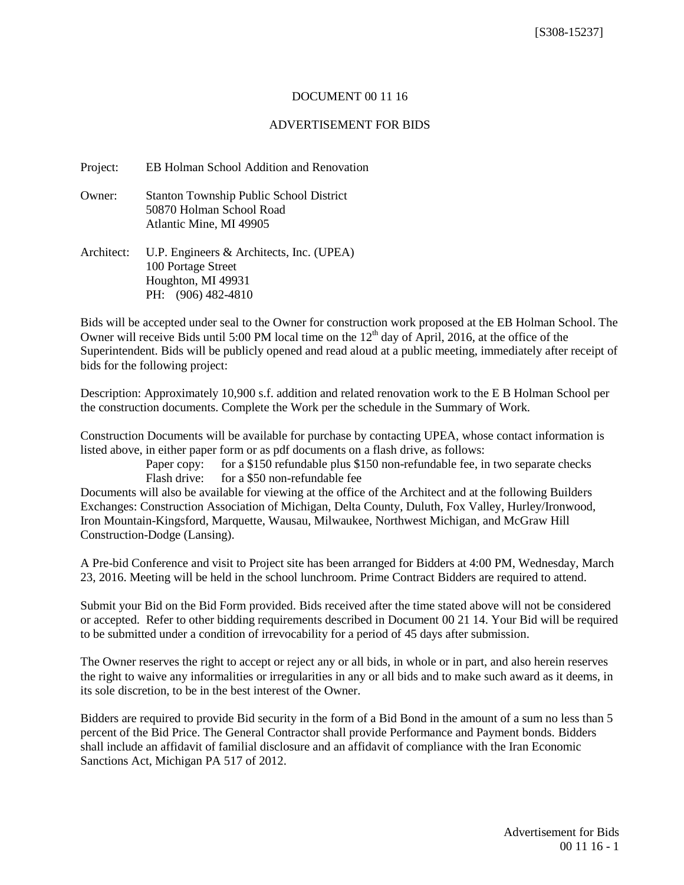## DOCUMENT 00 11 16

## ADVERTISEMENT FOR BIDS

Project: EB Holman School Addition and Renovation

Owner: Stanton Township Public School District 50870 Holman School Road Atlantic Mine, MI 49905

Architect: U.P. Engineers & Architects, Inc. (UPEA) 100 Portage Street Houghton, MI 49931 PH: (906) 482-4810

Bids will be accepted under seal to the Owner for construction work proposed at the EB Holman School. The Owner will receive Bids until 5:00 PM local time on the  $12<sup>th</sup>$  day of April, 2016, at the office of the Superintendent. Bids will be publicly opened and read aloud at a public meeting, immediately after receipt of bids for the following project:

Description: Approximately 10,900 s.f. addition and related renovation work to the E B Holman School per the construction documents. Complete the Work per the schedule in the Summary of Work.

Construction Documents will be available for purchase by contacting UPEA, whose contact information is listed above, in either paper form or as pdf documents on a flash drive, as follows:

> Paper copy: for a \$150 refundable plus \$150 non-refundable fee, in two separate checks Flash drive: for a \$50 non-refundable fee

Documents will also be available for viewing at the office of the Architect and at the following Builders Exchanges: Construction Association of Michigan, Delta County, Duluth, Fox Valley, Hurley/Ironwood, Iron Mountain-Kingsford, Marquette, Wausau, Milwaukee, Northwest Michigan, and McGraw Hill Construction-Dodge (Lansing).

A Pre-bid Conference and visit to Project site has been arranged for Bidders at 4:00 PM, Wednesday, March 23, 2016. Meeting will be held in the school lunchroom. Prime Contract Bidders are required to attend.

Submit your Bid on the Bid Form provided. Bids received after the time stated above will not be considered or accepted. Refer to other bidding requirements described in Document 00 21 14. Your Bid will be required to be submitted under a condition of irrevocability for a period of 45 days after submission.

The Owner reserves the right to accept or reject any or all bids, in whole or in part, and also herein reserves the right to waive any informalities or irregularities in any or all bids and to make such award as it deems, in its sole discretion, to be in the best interest of the Owner.

Bidders are required to provide Bid security in the form of a Bid Bond in the amount of a sum no less than 5 percent of the Bid Price. The General Contractor shall provide Performance and Payment bonds. Bidders shall include an affidavit of familial disclosure and an affidavit of compliance with the Iran Economic Sanctions Act, Michigan PA 517 of 2012.